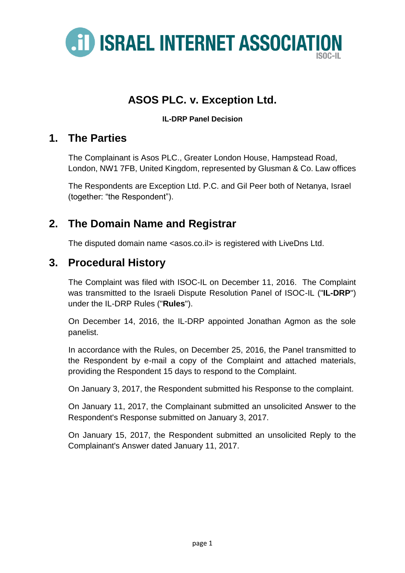

# **ASOS PLC. v. Exception Ltd.**

**IL-DRP Panel Decision**

### **1. The Parties**

The Complainant is Asos PLC., Greater London House, Hampstead Road, London, NW1 7FB, United Kingdom, represented by Glusman & Co. Law offices

The Respondents are Exception Ltd. P.C. and Gil Peer both of Netanya, Israel (together: "the Respondent").

## **2. The Domain Name and Registrar**

The disputed domain name <asos.co.il> is registered with LiveDns Ltd.

### **3. Procedural History**

The Complaint was filed with ISOC-IL on December 11, 2016. The Complaint was transmitted to the Israeli Dispute Resolution Panel of ISOC-IL ("**IL-DRP**") under the IL-DRP Rules ("**Rules**").

On December 14, 2016, the IL-DRP appointed Jonathan Agmon as the sole panelist.

In accordance with the Rules, on December 25, 2016, the Panel transmitted to the Respondent by e-mail a copy of the Complaint and attached materials, providing the Respondent 15 days to respond to the Complaint.

On January 3, 2017, the Respondent submitted his Response to the complaint.

On January 11, 2017, the Complainant submitted an unsolicited Answer to the Respondent's Response submitted on January 3, 2017.

On January 15, 2017, the Respondent submitted an unsolicited Reply to the Complainant's Answer dated January 11, 2017.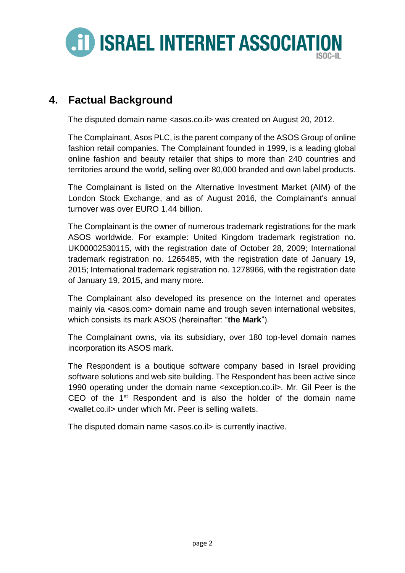

## **4. Factual Background**

The disputed domain name <asos.co.il> was created on August 20, 2012.

The Complainant, Asos PLC, is the parent company of the ASOS Group of online fashion retail companies. The Complainant founded in 1999, is a leading global online fashion and beauty retailer that ships to more than 240 countries and territories around the world, selling over 80,000 branded and own label products.

The Complainant is listed on the Alternative Investment Market (AIM) of the London Stock Exchange, and as of August 2016, the Complainant's annual turnover was over EURO 1.44 billion.

The Complainant is the owner of numerous trademark registrations for the mark ASOS worldwide. For example: United Kingdom trademark registration no. UK00002530115, with the registration date of October 28, 2009; International trademark registration no. 1265485, with the registration date of January 19, 2015; International trademark registration no. 1278966, with the registration date of January 19, 2015, and many more.

The Complainant also developed its presence on the Internet and operates mainly via <asos.com> domain name and trough seven international websites, which consists its mark ASOS (hereinafter: "**the Mark**").

The Complainant owns, via its subsidiary, over 180 top-level domain names incorporation its ASOS mark.

The Respondent is a boutique software company based in Israel providing software solutions and web site building. The Respondent has been active since 1990 operating under the domain name <exception.co.il>. Mr. Gil Peer is the CEO of the 1<sup>st</sup> Respondent and is also the holder of the domain name <wallet.co.il> under which Mr. Peer is selling wallets.

The disputed domain name <asos.co.il> is currently inactive.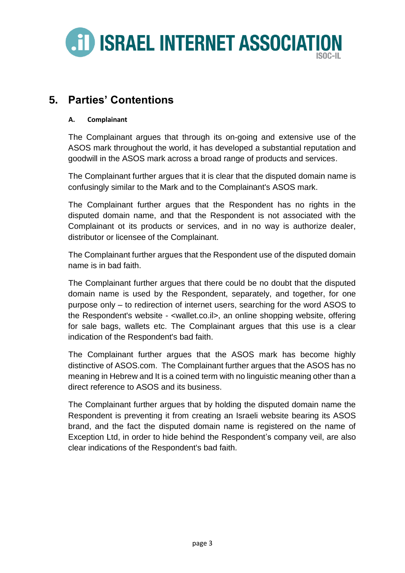

## **5. Parties' Contentions**

#### **A. Complainant**

The Complainant argues that through its on-going and extensive use of the ASOS mark throughout the world, it has developed a substantial reputation and goodwill in the ASOS mark across a broad range of products and services.

The Complainant further argues that it is clear that the disputed domain name is confusingly similar to the Mark and to the Complainant's ASOS mark.

The Complainant further argues that the Respondent has no rights in the disputed domain name, and that the Respondent is not associated with the Complainant ot its products or services, and in no way is authorize dealer, distributor or licensee of the Complainant.

The Complainant further argues that the Respondent use of the disputed domain name is in bad faith.

The Complainant further argues that there could be no doubt that the disputed domain name is used by the Respondent, separately, and together, for one purpose only – to redirection of internet users, searching for the word ASOS to the Respondent's website - <wallet.co.il>, an online shopping website, offering for sale bags, wallets etc. The Complainant argues that this use is a clear indication of the Respondent's bad faith.

The Complainant further argues that the ASOS mark has become highly distinctive of ASOS.com. The Complainant further argues that the ASOS has no meaning in Hebrew and It is a coined term with no linguistic meaning other than a direct reference to ASOS and its business.

The Complainant further argues that by holding the disputed domain name the Respondent is preventing it from creating an Israeli website bearing its ASOS brand, and the fact the disputed domain name is registered on the name of Exception Ltd, in order to hide behind the Respondent's company veil, are also clear indications of the Respondent's bad faith.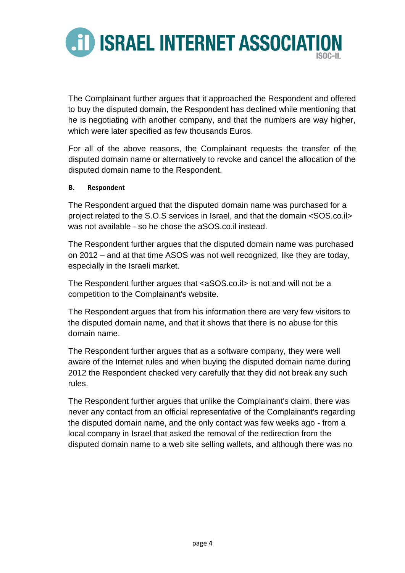

The Complainant further argues that it approached the Respondent and offered to buy the disputed domain, the Respondent has declined while mentioning that he is negotiating with another company, and that the numbers are way higher, which were later specified as few thousands Euros.

For all of the above reasons, the Complainant requests the transfer of the disputed domain name or alternatively to revoke and cancel the allocation of the disputed domain name to the Respondent.

#### **B. Respondent**

The Respondent argued that the disputed domain name was purchased for a project related to the S.O.S services in Israel, and that the domain <SOS.co.il> was not available - so he chose the aSOS.co.il instead.

The Respondent further argues that the disputed domain name was purchased on 2012 – and at that time ASOS was not well recognized, like they are today, especially in the Israeli market.

The Respondent further argues that <aSOS.co.il> is not and will not be a competition to the Complainant's website.

The Respondent argues that from his information there are very few visitors to the disputed domain name, and that it shows that there is no abuse for this domain name.

The Respondent further argues that as a software company, they were well aware of the Internet rules and when buying the disputed domain name during 2012 the Respondent checked very carefully that they did not break any such rules.

The Respondent further argues that unlike the Complainant's claim, there was never any contact from an official representative of the Complainant's regarding the disputed domain name, and the only contact was few weeks ago - from a local company in Israel that asked the removal of the redirection from the disputed domain name to a web site selling wallets, and although there was no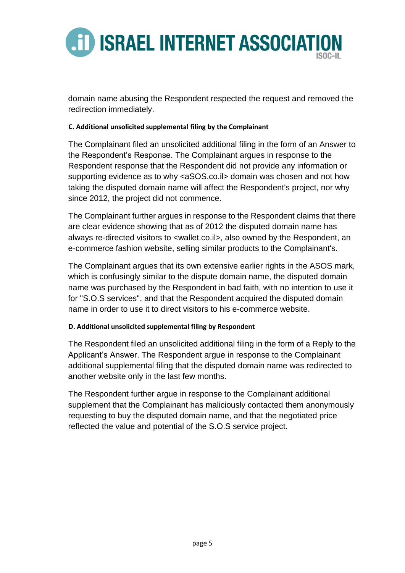

domain name abusing the Respondent respected the request and removed the redirection immediately.

#### **C. Additional unsolicited supplemental filing by the Complainant**

The Complainant filed an unsolicited additional filing in the form of an Answer to the Respondent's Response. The Complainant argues in response to the Respondent response that the Respondent did not provide any information or supporting evidence as to why <aSOS.co.il> domain was chosen and not how taking the disputed domain name will affect the Respondent's project, nor why since 2012, the project did not commence.

The Complainant further argues in response to the Respondent claims that there are clear evidence showing that as of 2012 the disputed domain name has always re-directed visitors to <wallet.co.il>, also owned by the Respondent, an e-commerce fashion website, selling similar products to the Complainant's.

The Complainant argues that its own extensive earlier rights in the ASOS mark, which is confusingly similar to the dispute domain name, the disputed domain name was purchased by the Respondent in bad faith, with no intention to use it for "S.O.S services", and that the Respondent acquired the disputed domain name in order to use it to direct visitors to his e-commerce website.

#### **D. Additional unsolicited supplemental filing by Respondent**

The Respondent filed an unsolicited additional filing in the form of a Reply to the Applicant's Answer. The Respondent argue in response to the Complainant additional supplemental filing that the disputed domain name was redirected to another website only in the last few months.

The Respondent further argue in response to the Complainant additional supplement that the Complainant has maliciously contacted them anonymously requesting to buy the disputed domain name, and that the negotiated price reflected the value and potential of the S.O.S service project.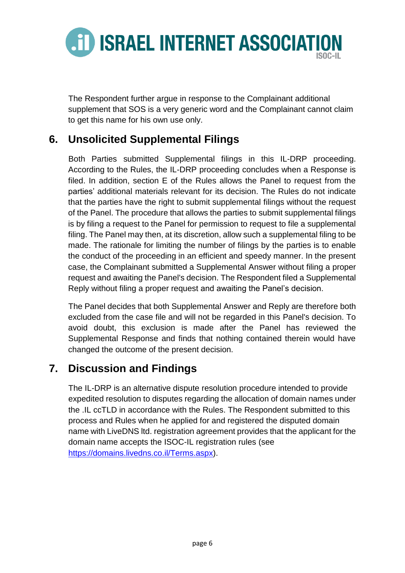

The Respondent further argue in response to the Complainant additional supplement that SOS is a very generic word and the Complainant cannot claim to get this name for his own use only.

## **6. Unsolicited Supplemental Filings**

Both Parties submitted Supplemental filings in this IL-DRP proceeding. According to the Rules, the IL-DRP proceeding concludes when a Response is filed. In addition, section E of the Rules allows the Panel to request from the parties' additional materials relevant for its decision. The Rules do not indicate that the parties have the right to submit supplemental filings without the request of the Panel. The procedure that allows the parties to submit supplemental filings is by filing a request to the Panel for permission to request to file a supplemental filing. The Panel may then, at its discretion, allow such a supplemental filing to be made. The rationale for limiting the number of filings by the parties is to enable the conduct of the proceeding in an efficient and speedy manner. In the present case, the Complainant submitted a Supplemental Answer without filing a proper request and awaiting the Panel's decision. The Respondent filed a Supplemental Reply without filing a proper request and awaiting the Panel's decision.

The Panel decides that both Supplemental Answer and Reply are therefore both excluded from the case file and will not be regarded in this Panel's decision. To avoid doubt, this exclusion is made after the Panel has reviewed the Supplemental Response and finds that nothing contained therein would have changed the outcome of the present decision.

## **7. Discussion and Findings**

The IL-DRP is an alternative dispute resolution procedure intended to provide expedited resolution to disputes regarding the allocation of domain names under the .IL ccTLD in accordance with the Rules. The Respondent submitted to this process and Rules when he applied for and registered the disputed domain name with LiveDNS ltd. registration agreement provides that the applicant for the domain name accepts the ISOC-IL registration rules (see [https://domains.livedns.co.il/Terms.aspx\)](https://domains.livedns.co.il/Terms.aspx).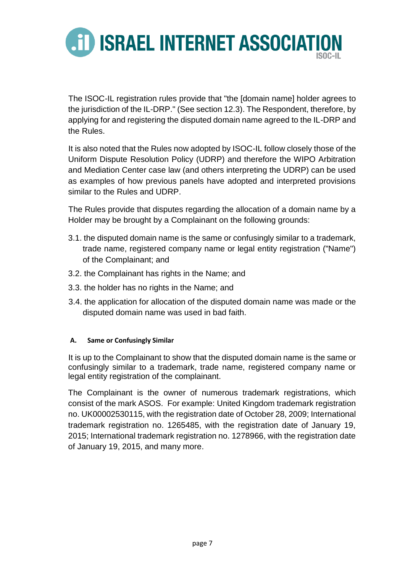

The ISOC-IL registration rules provide that "the [domain name] holder agrees to the jurisdiction of the IL-DRP." (See section 12.3). The Respondent, therefore, by applying for and registering the disputed domain name agreed to the IL-DRP and the Rules.

It is also noted that the Rules now adopted by ISOC-IL follow closely those of the Uniform Dispute Resolution Policy (UDRP) and therefore the WIPO Arbitration and Mediation Center case law (and others interpreting the UDRP) can be used as examples of how previous panels have adopted and interpreted provisions similar to the Rules and UDRP.

The Rules provide that disputes regarding the allocation of a domain name by a Holder may be brought by a Complainant on the following grounds:

- 3.1. the disputed domain name is the same or confusingly similar to a trademark, trade name, registered company name or legal entity registration ("Name") of the Complainant; and
- 3.2. the Complainant has rights in the Name; and
- 3.3. the holder has no rights in the Name; and
- 3.4. the application for allocation of the disputed domain name was made or the disputed domain name was used in bad faith.

#### **A. Same or Confusingly Similar**

It is up to the Complainant to show that the disputed domain name is the same or confusingly similar to a trademark, trade name, registered company name or legal entity registration of the complainant.

The Complainant is the owner of numerous trademark registrations, which consist of the mark ASOS. For example: United Kingdom trademark registration no. UK00002530115, with the registration date of October 28, 2009; International trademark registration no. 1265485, with the registration date of January 19, 2015; International trademark registration no. 1278966, with the registration date of January 19, 2015, and many more.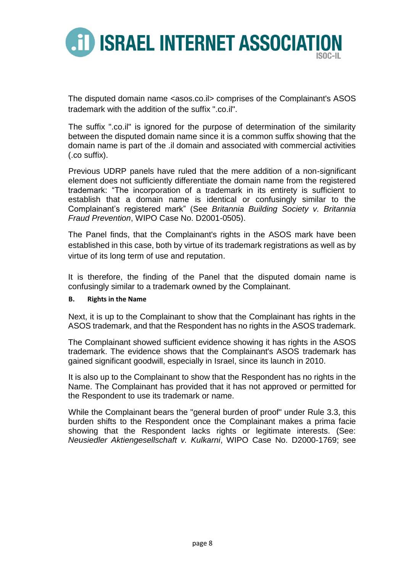

The disputed domain name <asos.co.il> comprises of the Complainant's ASOS trademark with the addition of the suffix " co.il"

The suffix ".co.il" is ignored for the purpose of determination of the similarity between the disputed domain name since it is a common suffix showing that the domain name is part of the .il domain and associated with commercial activities (.co suffix).

Previous UDRP panels have ruled that the mere addition of a non-significant element does not sufficiently differentiate the domain name from the registered trademark: "The incorporation of a trademark in its entirety is sufficient to establish that a domain name is identical or confusingly similar to the Complainant's registered mark" (See *Britannia Building Society v. Britannia Fraud Prevention*, WIPO Case No. D2001-0505).

The Panel finds, that the Complainant's rights in the ASOS mark have been established in this case, both by virtue of its trademark registrations as well as by virtue of its long term of use and reputation.

It is therefore, the finding of the Panel that the disputed domain name is confusingly similar to a trademark owned by the Complainant.

#### **B. Rights in the Name**

Next, it is up to the Complainant to show that the Complainant has rights in the ASOS trademark, and that the Respondent has no rights in the ASOS trademark.

The Complainant showed sufficient evidence showing it has rights in the ASOS trademark. The evidence shows that the Complainant's ASOS trademark has gained significant goodwill, especially in Israel, since its launch in 2010.

It is also up to the Complainant to show that the Respondent has no rights in the Name. The Complainant has provided that it has not approved or permitted for the Respondent to use its trademark or name.

While the Complainant bears the "general burden of proof" under Rule 3.3, this burden shifts to the Respondent once the Complainant makes a prima facie showing that the Respondent lacks rights or legitimate interests. (See: *Neusiedler Aktiengesellschaft v. Kulkarni*, [WIPO Case No. D2000-1769;](http://www.wipo.int/amc/en/domains/decisions/html/2000/d2000-1769.html) see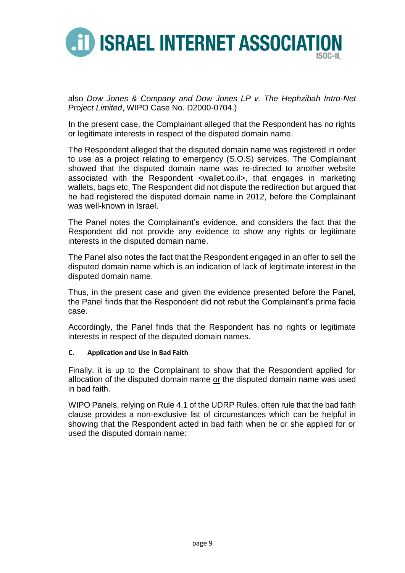

also *Dow Jones & Company and Dow Jones LP v. The Hephzibah Intro-Net Project Limited*, [WIPO Case No. D2000-0704.](http://www.wipo.int/amc/en/domains/decisions/html/2000/d2000-0704.html))

In the present case, the Complainant alleged that the Respondent has no rights or legitimate interests in respect of the disputed domain name.

The Respondent alleged that the disputed domain name was registered in order to use as a project relating to emergency (S.O.S) services. The Complainant showed that the disputed domain name was re-directed to another website associated with the Respondent <wallet.co.il>, that engages in marketing wallets, bags etc, The Respondent did not dispute the redirection but argued that he had registered the disputed domain name in 2012, before the Complainant was well-known in Israel.

The Panel notes the Complainant's evidence, and considers the fact that the Respondent did not provide any evidence to show any rights or legitimate interests in the disputed domain name.

The Panel also notes the fact that the Respondent engaged in an offer to sell the disputed domain name which is an indication of lack of legitimate interest in the disputed domain name.

Thus, in the present case and given the evidence presented before the Panel, the Panel finds that the Respondent did not rebut the Complainant's prima facie case.

Accordingly, the Panel finds that the Respondent has no rights or legitimate interests in respect of the disputed domain names.

#### **C. Application and Use in Bad Faith**

Finally, it is up to the Complainant to show that the Respondent applied for allocation of the disputed domain name or the disputed domain name was used in bad faith.

WIPO Panels, relying on Rule 4.1 of the UDRP Rules, often rule that the bad faith clause provides a non-exclusive list of circumstances which can be helpful in showing that the Respondent acted in bad faith when he or she applied for or used the disputed domain name: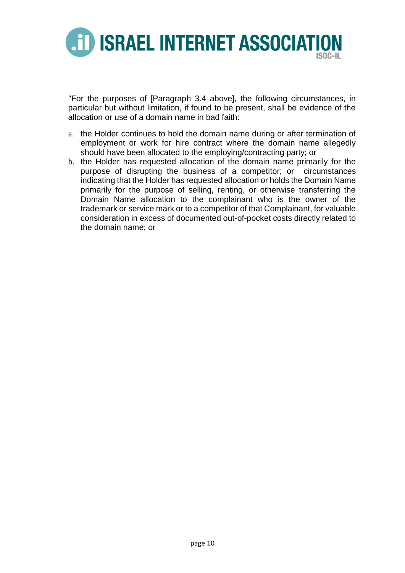

"For the purposes of [Paragraph 3.4 above], the following circumstances, in particular but without limitation, if found to be present, shall be evidence of the allocation or use of a domain name in bad faith:

- a. the Holder continues to hold the domain name during or after termination of employment or work for hire contract where the domain name allegedly should have been allocated to the employing/contracting party; or
- b. the Holder has requested allocation of the domain name primarily for the purpose of disrupting the business of a competitor; or circumstances indicating that the Holder has requested allocation or holds the Domain Name primarily for the purpose of selling, renting, or otherwise transferring the Domain Name allocation to the complainant who is the owner of the trademark or service mark or to a competitor of that Complainant, for valuable consideration in excess of documented out-of-pocket costs directly related to the domain name; or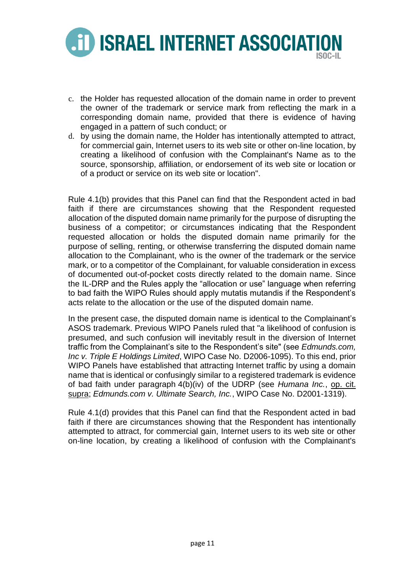

- c. the Holder has requested allocation of the domain name in order to prevent the owner of the trademark or service mark from reflecting the mark in a corresponding domain name, provided that there is evidence of having engaged in a pattern of such conduct; or
- d. by using the domain name, the Holder has intentionally attempted to attract, for commercial gain, Internet users to its web site or other on-line location, by creating a likelihood of confusion with the Complainant's Name as to the source, sponsorship, affiliation, or endorsement of its web site or location or of a product or service on its web site or location".

Rule 4.1(b) provides that this Panel can find that the Respondent acted in bad faith if there are circumstances showing that the Respondent requested allocation of the disputed domain name primarily for the purpose of disrupting the business of a competitor; or circumstances indicating that the Respondent requested allocation or holds the disputed domain name primarily for the purpose of selling, renting, or otherwise transferring the disputed domain name allocation to the Complainant, who is the owner of the trademark or the service mark, or to a competitor of the Complainant, for valuable consideration in excess of documented out-of-pocket costs directly related to the domain name. Since the IL-DRP and the Rules apply the "allocation or use" language when referring to bad faith the WIPO Rules should apply mutatis mutandis if the Respondent's acts relate to the allocation or the use of the disputed domain name.

In the present case, the disputed domain name is identical to the Complainant's ASOS trademark. Previous WIPO Panels ruled that "a likelihood of confusion is presumed, and such confusion will inevitably result in the diversion of Internet traffic from the Complainant's site to the Respondent's site" (see *Edmunds.com, Inc v. Triple E Holdings Limited*, WIPO Case No. D2006-1095). To this end, prior WIPO Panels have established that attracting Internet traffic by using a domain name that is identical or confusingly similar to a registered trademark is evidence of bad faith under paragraph 4(b)(iv) of the UDRP (see *Humana Inc.*, op. cit. supra; *Edmunds.com v. Ultimate Search, Inc.*, WIPO Case No. D2001-1319).

Rule 4.1(d) provides that this Panel can find that the Respondent acted in bad faith if there are circumstances showing that the Respondent has intentionally attempted to attract, for commercial gain, Internet users to its web site or other on-line location, by creating a likelihood of confusion with the Complainant's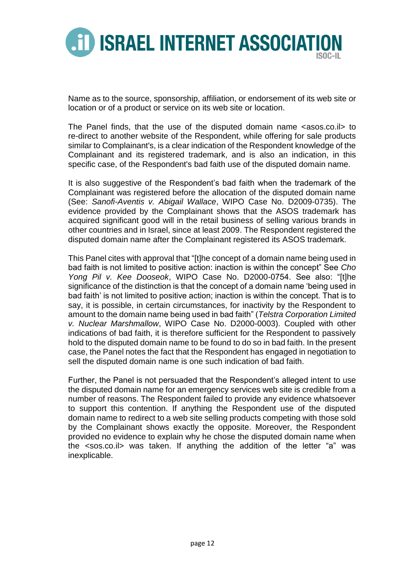

Name as to the source, sponsorship, affiliation, or endorsement of its web site or location or of a product or service on its web site or location.

The Panel finds, that the use of the disputed domain name <asos.co.il> to re-direct to another website of the Respondent, while offering for sale products similar to Complainant's, is a clear indication of the Respondent knowledge of the Complainant and its registered trademark, and is also an indication, in this specific case, of the Respondent's bad faith use of the disputed domain name.

It is also suggestive of the Respondent's bad faith when the trademark of the Complainant was registered before the allocation of the disputed domain name (See: *Sanofi-Aventis v. Abigail Wallace*, WIPO Case No. D2009-0735). The evidence provided by the Complainant shows that the ASOS trademark has acquired significant good will in the retail business of selling various brands in other countries and in Israel, since at least 2009. The Respondent registered the disputed domain name after the Complainant registered its ASOS trademark.

This Panel cites with approval that "[t]he concept of a domain name being used in bad faith is not limited to positive action: inaction is within the concept" See *Cho Yong Pil v. Kee Dooseok*, WIPO Case No. D2000-0754. See also: "[t]he significance of the distinction is that the concept of a domain name 'being used in bad faith' is not limited to positive action; inaction is within the concept. That is to say, it is possible, in certain circumstances, for inactivity by the Respondent to amount to the domain name being used in bad faith" (*Telstra Corporation Limited v. Nuclear Marshmallow*, WIPO Case No. D2000-0003). Coupled with other indications of bad faith, it is therefore sufficient for the Respondent to passively hold to the disputed domain name to be found to do so in bad faith. In the present case, the Panel notes the fact that the Respondent has engaged in negotiation to sell the disputed domain name is one such indication of bad faith.

Further, the Panel is not persuaded that the Respondent's alleged intent to use the disputed domain name for an emergency services web site is credible from a number of reasons. The Respondent failed to provide any evidence whatsoever to support this contention. If anything the Respondent use of the disputed domain name to redirect to a web site selling products competing with those sold by the Complainant shows exactly the opposite. Moreover, the Respondent provided no evidence to explain why he chose the disputed domain name when the <sos.co.il> was taken. If anything the addition of the letter "a" was inexplicable.